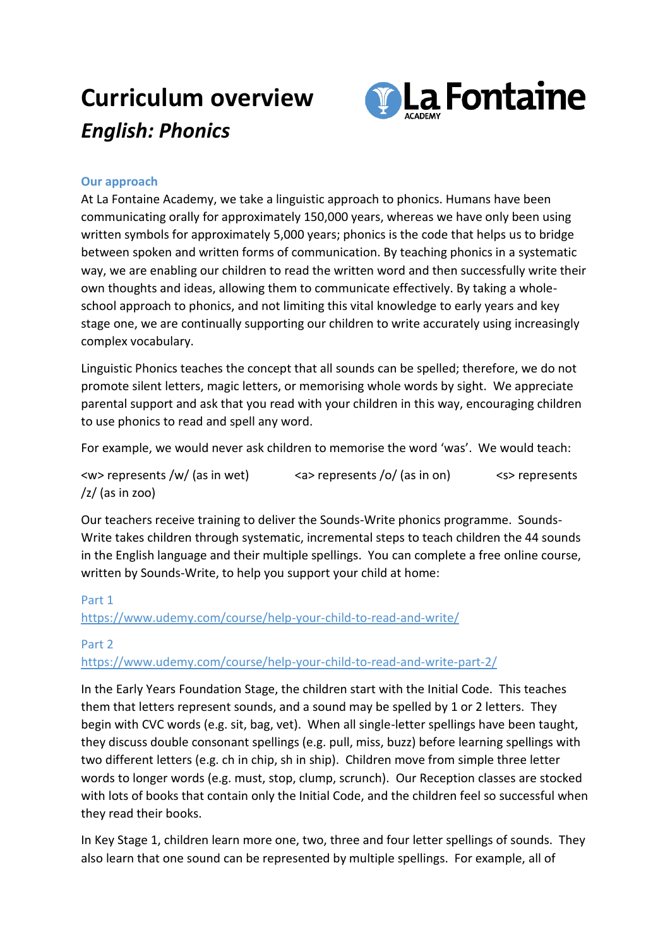# **Curriculum overview** *English: Phonics*



## **Our approach**

At La Fontaine Academy, we take a linguistic approach to phonics. Humans have been communicating orally for approximately 150,000 years, whereas we have only been using written symbols for approximately 5,000 years; phonics is the code that helps us to bridge between spoken and written forms of communication. By teaching phonics in a systematic way, we are enabling our children to read the written word and then successfully write their own thoughts and ideas, allowing them to communicate effectively. By taking a wholeschool approach to phonics, and not limiting this vital knowledge to early years and key stage one, we are continually supporting our children to write accurately using increasingly complex vocabulary.

Linguistic Phonics teaches the concept that all sounds can be spelled; therefore, we do not promote silent letters, magic letters, or memorising whole words by sight. We appreciate parental support and ask that you read with your children in this way, encouraging children to use phonics to read and spell any word.

For example, we would never ask children to memorise the word 'was'. We would teach:

<w> represents /w/ (as in wet) <a> represents /o/ (as in on) <s> represents  $\frac{z}{\tan 200}$ 

Our teachers receive training to deliver the Sounds-Write phonics programme. Sounds-Write takes children through systematic, incremental steps to teach children the 44 sounds in the English language and their multiple spellings. You can complete a free online course, written by Sounds-Write, to help you support your child at home:

### Part 1

## <https://www.udemy.com/course/help-your-child-to-read-and-write/>

### Part 2

<https://www.udemy.com/course/help-your-child-to-read-and-write-part-2/>

In the Early Years Foundation Stage, the children start with the Initial Code. This teaches them that letters represent sounds, and a sound may be spelled by 1 or 2 letters. They begin with CVC words (e.g. sit, bag, vet). When all single-letter spellings have been taught, they discuss double consonant spellings (e.g. pull, miss, buzz) before learning spellings with two different letters (e.g. ch in chip, sh in ship). Children move from simple three letter words to longer words (e.g. must, stop, clump, scrunch). Our Reception classes are stocked with lots of books that contain only the Initial Code, and the children feel so successful when they read their books.

In Key Stage 1, children learn more one, two, three and four letter spellings of sounds. They also learn that one sound can be represented by multiple spellings. For example, all of